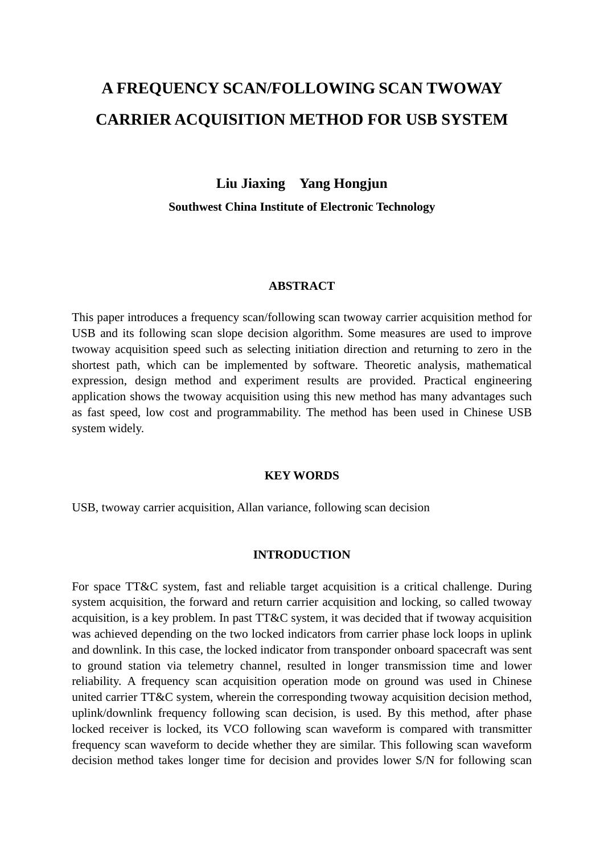# **A FREQUENCY SCAN/FOLLOWING SCAN TWOWAY CARRIER ACQUISITION METHOD FOR USB SYSTEM**

**Liu Jiaxing Yang Hongjun** 

**Southwest China Institute of Electronic Technology** 

## **ABSTRACT**

This paper introduces a frequency scan/following scan twoway carrier acquisition method for USB and its following scan slope decision algorithm. Some measures are used to improve twoway acquisition speed such as selecting initiation direction and returning to zero in the shortest path, which can be implemented by software. Theoretic analysis, mathematical expression, design method and experiment results are provided. Practical engineering application shows the twoway acquisition using this new method has many advantages such as fast speed, low cost and programmability. The method has been used in Chinese USB system widely.

### **KEY WORDS**

USB, twoway carrier acquisition, Allan variance, following scan decision

### **INTRODUCTION**

For space TT&C system, fast and reliable target acquisition is a critical challenge. During system acquisition, the forward and return carrier acquisition and locking, so called twoway acquisition, is a key problem. In past TT&C system, it was decided that if twoway acquisition was achieved depending on the two locked indicators from carrier phase lock loops in uplink and downlink. In this case, the locked indicator from transponder onboard spacecraft was sent to ground station via telemetry channel, resulted in longer transmission time and lower reliability. A frequency scan acquisition operation mode on ground was used in Chinese united carrier TT&C system, wherein the corresponding twoway acquisition decision method, uplink/downlink frequency following scan decision, is used. By this method, after phase locked receiver is locked, its VCO following scan waveform is compared with transmitter frequency scan waveform to decide whether they are similar. This following scan waveform decision method takes longer time for decision and provides lower S/N for following scan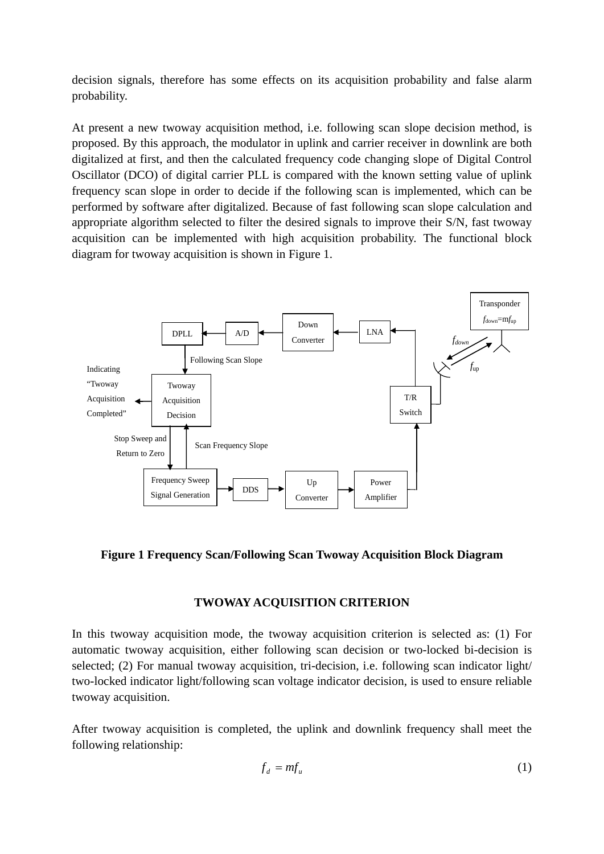decision signals, therefore has some effects on its acquisition probability and false alarm probability.

At present a new twoway acquisition method, i.e. following scan slope decision method, is proposed. By this approach, the modulator in uplink and carrier receiver in downlink are both digitalized at first, and then the calculated frequency code changing slope of Digital Control Oscillator (DCO) of digital carrier PLL is compared with the known setting value of uplink frequency scan slope in order to decide if the following scan is implemented, which can be performed by software after digitalized. Because of fast following scan slope calculation and appropriate algorithm selected to filter the desired signals to improve their S/N, fast twoway acquisition can be implemented with high acquisition probability. The functional block diagram for twoway acquisition is shown in Figure 1.



**Figure 1 Frequency Scan/Following Scan Twoway Acquisition Block Diagram** 

# **TWOWAY ACQUISITION CRITERION**

In this twoway acquisition mode, the twoway acquisition criterion is selected as: (1) For automatic twoway acquisition, either following scan decision or two-locked bi-decision is selected; (2) For manual twoway acquisition, tri-decision, i.e. following scan indicator light/ two-locked indicator light/following scan voltage indicator decision, is used to ensure reliable twoway acquisition.

After twoway acquisition is completed, the uplink and downlink frequency shall meet the following relationship:

$$
f_d = mf_u \tag{1}
$$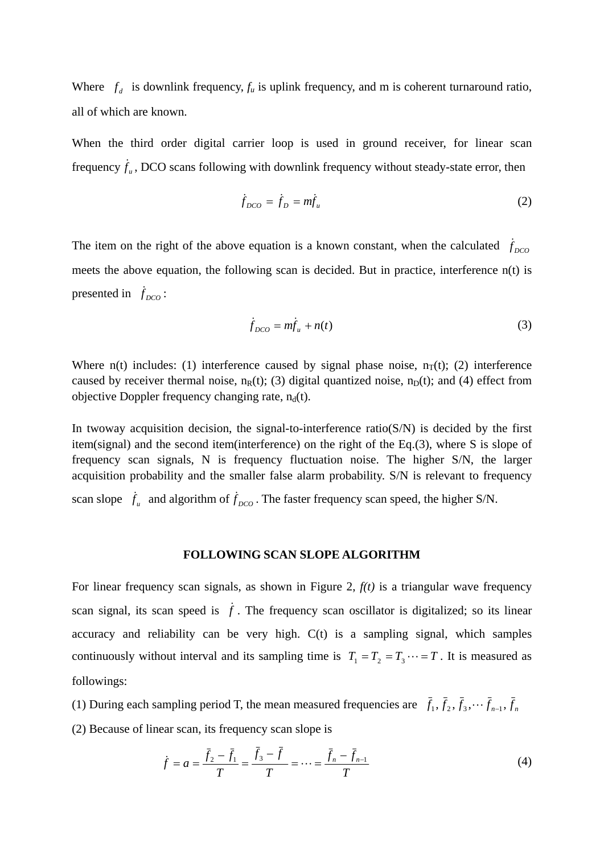Where  $f_d$  is downlink frequency,  $f_u$  is uplink frequency, and m is coherent turnaround ratio, all of which are known.

When the third order digital carrier loop is used in ground receiver, for linear scan frequency  $\dot{f}_u$ , DCO scans following with downlink frequency without steady-state error, then

$$
\dot{f}_{DCO} = \dot{f}_D = m\dot{f}_u \tag{2}
$$

The item on the right of the above equation is a known constant, when the calculated  $\dot{f}_{DCO}$ meets the above equation, the following scan is decided. But in practice, interference n(t) is presented in  $f_{DCO}$ :

$$
\dot{f}_{DCO} = m\dot{f}_u + n(t) \tag{3}
$$

Where  $n(t)$  includes: (1) interference caused by signal phase noise,  $n_T(t)$ ; (2) interference caused by receiver thermal noise,  $n_R(t)$ ; (3) digital quantized noise,  $n_D(t)$ ; and (4) effect from objective Doppler frequency changing rate,  $n_d(t)$ .

In twoway acquisition decision, the signal-to-interference ratio( $S/N$ ) is decided by the first item(signal) and the second item(interference) on the right of the Eq.(3), where S is slope of frequency scan signals, N is frequency fluctuation noise. The higher S/N, the larger acquisition probability and the smaller false alarm probability. S/N is relevant to frequency scan slope  $\dot{f}_u$  and algorithm of  $\dot{f}_{DCO}$ . The faster frequency scan speed, the higher S/N.

#### **FOLLOWING SCAN SLOPE ALGORITHM**

For linear frequency scan signals, as shown in Figure 2, *f(t)* is a triangular wave frequency scan signal, its scan speed is  $\dot{f}$ . The frequency scan oscillator is digitalized; so its linear accuracy and reliability can be very high. C(t) is a sampling signal, which samples continuously without interval and its sampling time is  $T_1 = T_2 = T_3 \cdots = T$ . It is measured as followings:

(1) During each sampling period T, the mean measured frequencies are  $\bar{f}_1$ ,  $\bar{f}_2$ ,  $\bar{f}_3$ ,  $\cdots$   $\bar{f}_{n-1}$ ,  $\bar{f}_n$ 

(2) Because of linear scan, its frequency scan slope is

$$
\dot{f} = a = \frac{\bar{f}_2 - \bar{f}_1}{T} = \frac{f_3 - f}{T} = \dots = \frac{\bar{f}_n - \bar{f}_{n-1}}{T}
$$
(4)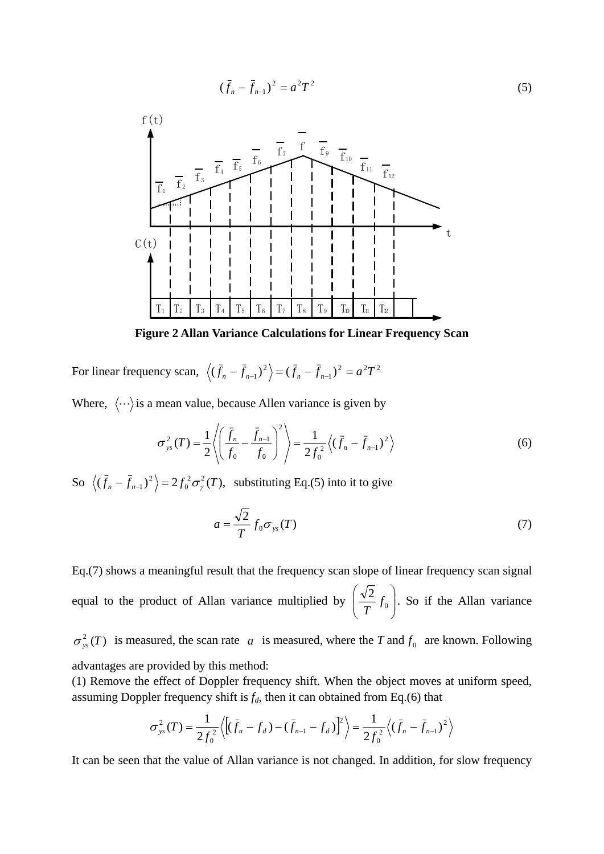$$
(\bar{f}_n - \bar{f}_{n-1})^2 = a^2 T^2 \tag{5}
$$



**Figure 2 Allan Variance Calculations for Linear Frequency Scan** 

For linear frequency scan,  $\langle (\bar{f}_n - \bar{f}_{n-1})^2 \rangle = (\bar{f}_n - \bar{f}_{n-1})^2 = a^2 T^2$  $(\bar{f}_n - \bar{f}_{n-1})^2$  =  $(\bar{f}_n - \bar{f}_{n-1})^2$  =  $a^2T$ 

Where,  $\langle \cdots \rangle$  is a mean value, because Allen variance is given by

$$
\sigma_{ys}^2(T) = \frac{1}{2} \left\langle \left( \frac{\bar{f}_n}{f_0} - \frac{\bar{f}_{n-1}}{f_0} \right)^2 \right\rangle = \frac{1}{2f_0^2} \left\langle (\bar{f}_n - \bar{f}_{n-1})^2 \right\rangle \tag{6}
$$

So  $\langle (\bar{f}_n - \bar{f}_{n-1})^2 \rangle = 2 f_0^2 \sigma_y^2(T)$ ,  $\langle \bar{f}_n - \bar{f}_{n-1} \rangle^2$  =  $2 f_0^2 \sigma_\gamma^2(T)$ , substituting Eq.(5) into it to give

$$
a = \frac{\sqrt{2}}{T} f_0 \sigma_{ys}(T) \tag{7}
$$

Eq.(7) shows a meaningful result that the frequency scan slope of linear frequency scan signal equal to the product of Allan variance multiplied by  $\left|\frac{\sqrt{2}}{T}f_0\right|$ ⎠ ⎞  $\Big\}$ ⎝  $\big($  $\left(\frac{\sqrt{2}}{T} f_0\right)$ . So if the Allan variance  $\sigma_{ys}^2(T)$  is measured, the scan rate a is measured, where the T and  $f_0$  are known. Following

advantages are provided by this method:

(1) Remove the effect of Doppler frequency shift. When the object moves at uniform speed, assuming Doppler frequency shift is  $f_d$ , then it can obtained from Eq.(6) that

$$
\sigma_{ys}^2(T) = \frac{1}{2f_0^2} \left\langle \left[ (\bar{f}_n - f_d) - (\bar{f}_{n-1} - f_d) \right]^2 \right\rangle = \frac{1}{2f_0^2} \left\langle (\bar{f}_n - \bar{f}_{n-1})^2 \right\rangle
$$

It can be seen that the value of Allan variance is not changed. In addition, for slow frequency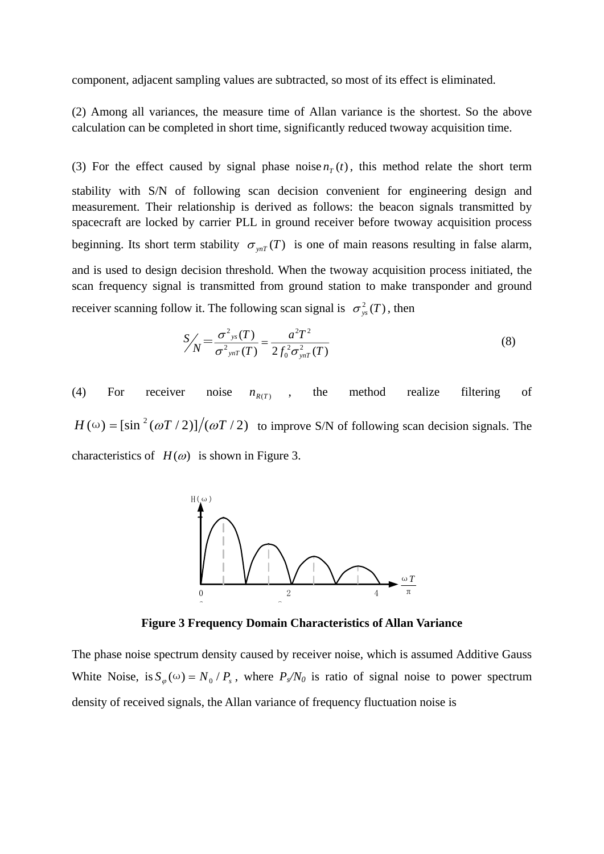component, adjacent sampling values are subtracted, so most of its effect is eliminated.

(2) Among all variances, the measure time of Allan variance is the shortest. So the above calculation can be completed in short time, significantly reduced twoway acquisition time.

(3) For the effect caused by signal phase noise  $n<sub>T</sub>(t)$ , this method relate the short term stability with S/N of following scan decision convenient for engineering design and measurement. Their relationship is derived as follows: the beacon signals transmitted by spacecraft are locked by carrier PLL in ground receiver before twoway acquisition process beginning. Its short term stability  $\sigma_{ynT}(T)$  is one of main reasons resulting in false alarm, and is used to design decision threshold. When the twoway acquisition process initiated, the scan frequency signal is transmitted from ground station to make transponder and ground receiver scanning follow it. The following scan signal is  $\sigma_{\rm vs}^2(T)$ , then

$$
S_{\text{N}}' = \frac{\sigma^2_{\text{ys}}(T)}{\sigma^2_{\text{ynT}}(T)} = \frac{a^2 T^2}{2 f_0^2 \sigma_{\text{ynT}}^2(T)}
$$
(8)

(4) For receiver noise  $n_{R(T)}$ , the method realize filtering of  $H(\omega) = [\sin^2(\omega T/2)]/(\omega T/2)$  to improve S/N of following scan decision signals. The characteristics of  $H(\omega)$  is shown in Figure 3.



**Figure 3 Frequency Domain Characteristics of Allan Variance** 

The phase noise spectrum density caused by receiver noise, which is assumed Additive Gauss White Noise, is  $S_{\varphi}(\omega) = N_0/P_s$ , where  $P_s/N_0$  is ratio of signal noise to power spectrum density of received signals, the Allan variance of frequency fluctuation noise is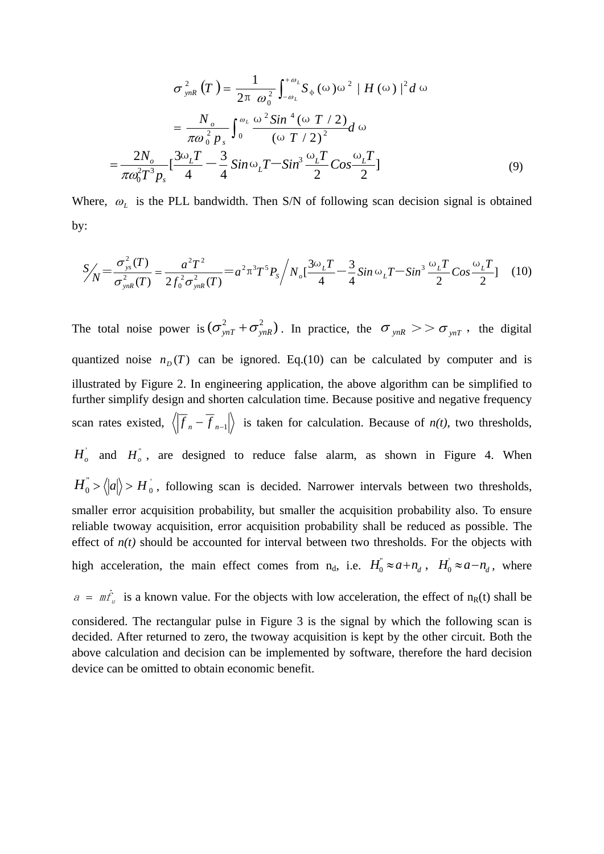$$
\sigma_{ynR}^{2}(T) = \frac{1}{2\pi \omega_0^2} \int_{-\omega_L}^{+\omega_L} S_{\phi}(\omega) \omega^2 |H(\omega)|^2 d\omega
$$

$$
= \frac{N_o}{\pi \omega_0^2 p_s} \int_0^{\omega_L} \frac{\omega^2 Sin^4(\omega T / 2)}{(\omega T / 2)^2} d\omega
$$

$$
= \frac{2N_o}{\pi \omega_0^2 T^3 p_s} \left[ \frac{3\omega_L T}{4} - \frac{3}{4} Sin\omega_L T - Sin^3 \frac{\omega_L T}{2} Cos \frac{\omega_L T}{2} \right]
$$
(9)

Where,  $\omega_L$  is the PLL bandwidth. Then S/N of following scan decision signal is obtained by:

$$
S_{\text{N}}' = \frac{\sigma_{\text{ys}}^2(T)}{\sigma_{\text{ynR}}^2(T)} = \frac{a^2 T^2}{2 f_0^2 \sigma_{\text{ynR}}^2(T)} = a^2 \pi^3 T^5 P_s / N_o \left[ \frac{3\omega_L T}{4} - \frac{3}{4} \sin \omega_L T - \sin^3 \frac{\omega_L T}{2} \cos \frac{\omega_L T}{2} \right] \tag{10}
$$

The total noise power is  $(\sigma_{ynT}^2 + \sigma_{ynR}^2)$ . In practice, the  $\sigma_{ynR} > > \sigma_{ynT}$ , the digital quantized noise  $n_D(T)$  can be ignored. Eq.(10) can be calculated by computer and is illustrated by Figure 2. In engineering application, the above algorithm can be simplified to further simplify design and shorten calculation time. Because positive and negative frequency scan rates existed,  $\langle |f_n - f_{n-1}| \rangle$  is taken for calculation. Because of *n(t)*, two thresholds,  $H_o$  and  $H_o$ , are designed to reduce false alarm, as shown in Figure 4. When  $H_0^{\dagger} > \langle |a| \rangle > H_0^{\dagger}$ , following scan is decided. Narrower intervals between two thresholds, smaller error acquisition probability, but smaller the acquisition probability also. To ensure reliable twoway acquisition, error acquisition probability shall be reduced as possible. The effect of  $n(t)$  should be accounted for interval between two thresholds. For the objects with high acceleration, the main effect comes from  $n_d$ , i.e.  $H_0^{\dagger} \approx a + n_d$ ,  $H_0^{\dagger} \approx a - n_d$ , where  $a = m\dot{f}_u$  is a known value. For the objects with low acceleration, the effect of n<sub>R</sub>(t) shall be  $n_0^{"} \approx a + n_d^{},$ 

considered. The rectangular pulse in Figure 3 is the signal by which the following scan is decided. After returned to zero, the twoway acquisition is kept by the other circuit. Both the above calculation and decision can be implemented by software, therefore the hard decision device can be omitted to obtain economic benefit.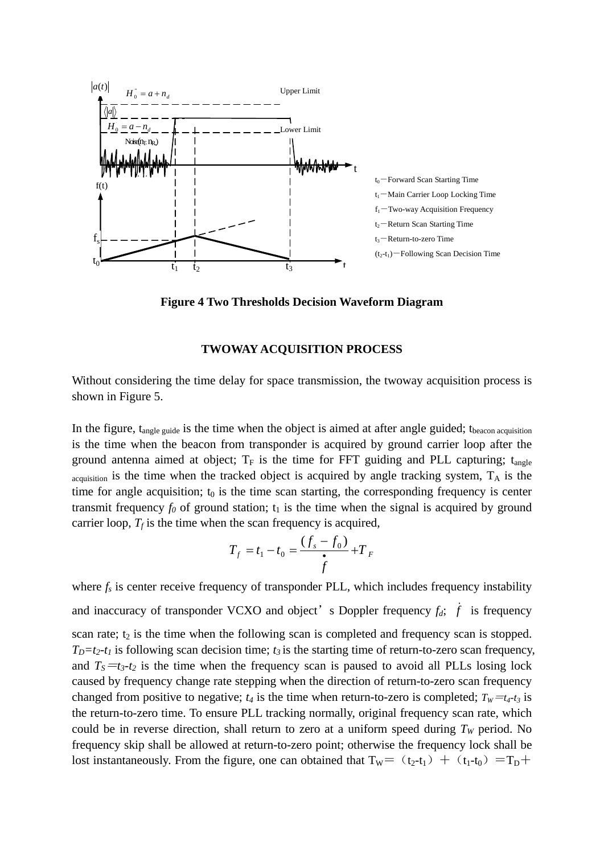

**Figure 4 Two Thresholds Decision Waveform Diagram** 

### **TWOWAY ACQUISITION PROCESS**

Without considering the time delay for space transmission, the twoway acquisition process is shown in Figure 5.

In the figure,  $t_{\text{angle guide}}$  is the time when the object is aimed at after angle guided;  $t_{\text{beacon acquisition}}$ is the time when the beacon from transponder is acquired by ground carrier loop after the ground antenna aimed at object;  $T_F$  is the time for FFT guiding and PLL capturing;  $t_{angle}$  $a$ <sub>cquisition</sub> is the time when the tracked object is acquired by angle tracking system,  $T_A$  is the time for angle acquisition;  $t_0$  is the time scan starting, the corresponding frequency is center transmit frequency  $f_0$  of ground station;  $t_1$  is the time when the signal is acquired by ground carrier loop,  $T_f$  is the time when the scan frequency is acquired,

$$
T_f = t_1 - t_0 = \frac{(f_s - f_0)}{\dot{f}} + T_F
$$

where  $f_s$  is center receive frequency of transponder PLL, which includes frequency instability and inaccuracy of transponder VCXO and object's Doppler frequency  $f_d$ ;  $\dot{f}$  is frequency scan rate;  $t_2$  is the time when the following scan is completed and frequency scan is stopped.  $T_D=t_2-t_1$  is following scan decision time;  $t_3$  is the starting time of return-to-zero scan frequency, and  $T_s = t_3-t_2$  is the time when the frequency scan is paused to avoid all PLLs losing lock caused by frequency change rate stepping when the direction of return-to-zero scan frequency changed from positive to negative;  $t_4$  is the time when return-to-zero is completed;  $T_W = t_4-t_3$  is the return-to-zero time. To ensure PLL tracking normally, original frequency scan rate, which could be in reverse direction, shall return to zero at a uniform speed during  $T_W$  period. No frequency skip shall be allowed at return-to-zero point; otherwise the frequency lock shall be lost instantaneously. From the figure, one can obtained that  $T_w = (t_2-t_1) + (t_1-t_0) = T_D +$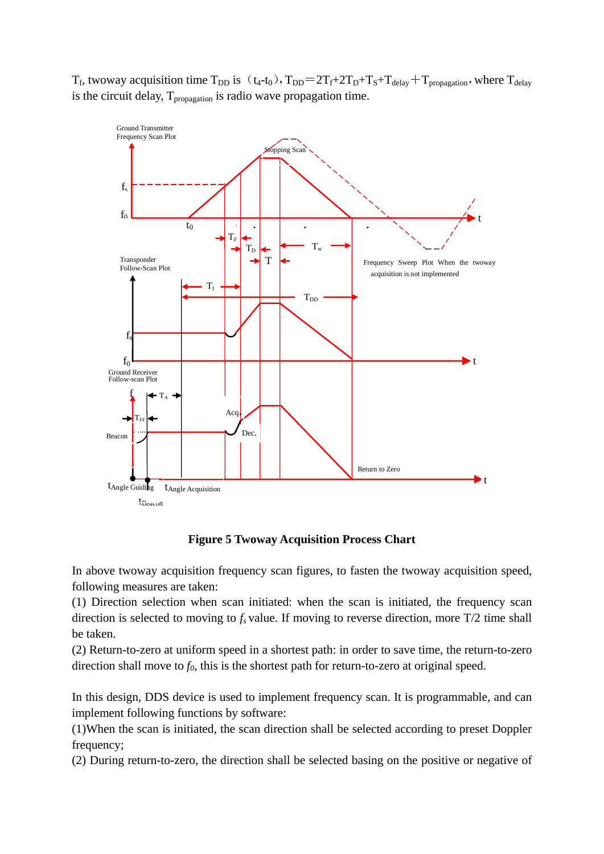$T_f$ , twoway acquisition time  $T_{DD}$  is  $(t_4-t_0)$ ,  $T_{DD}=2T_f+2T_D+T_s+T_{delay}+T_{propagation}$ , where  $T_{delay}$ is the circuit delay,  $T_{\text{propagation}}$  is radio wave propagation time.



**Figure 5 Twoway Acquisition Process Chart** 

In above twoway acquisition frequency scan figures, to fasten the twoway acquisition speed, following measures are taken:

(1) Direction selection when scan initiated: when the scan is initiated, the frequency scan direction is selected to moving to  $f_s$  value. If moving to reverse direction, more  $T/2$  time shall be taken.

(2) Return-to-zero at uniform speed in a shortest path: in order to save time, the return-to-zero direction shall move to  $f_0$ , this is the shortest path for return-to-zero at original speed.

In this design, DDS device is used to implement frequency scan. It is programmable, and can implement following functions by software:

(1)When the scan is initiated, the scan direction shall be selected according to preset Doppler frequency;

(2) During return-to-zero, the direction shall be selected basing on the positive or negative of